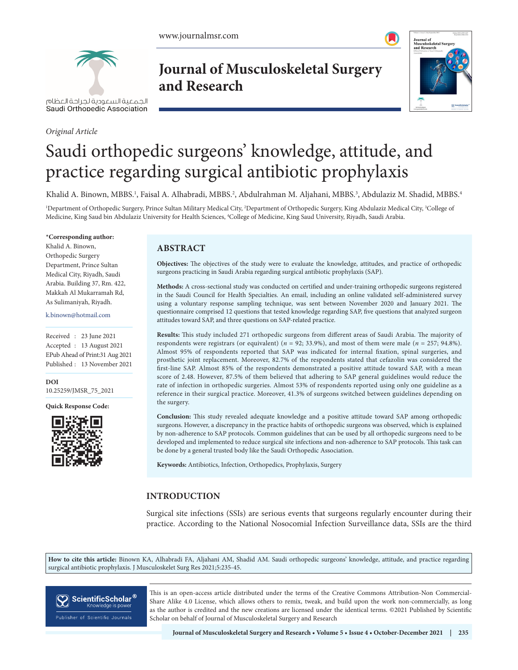

الحمعية السعودية لحراحة العظام Saudi Orthopedic Association

#### *Original Article*

# **Journal of Musculoskeletal Surgery and Research**



# Saudi orthopedic surgeons' knowledge, attitude, and practice regarding surgical antibiotic prophylaxis

Khalid A. Binown, MBBS.<sup>1</sup>, Faisal A. Alhabradi, MBBS.<sup>2</sup>, Abdulrahman M. Aljahani, MBBS.<sup>3</sup>, Abdulaziz M. Shadid, MBBS.<sup>4</sup>

<sup>1</sup>Department of Orthopedic Surgery, Prince Sultan Military Medical City, <sup>2</sup>Department of Orthopedic Surgery, King Abdulaziz Medical City, <sup>3</sup>College of Medicine, King Saud bin Abdulaziz University for Health Sciences, 4 College of Medicine, King Saud University, Riyadh, Saudi Arabia.

#### **\*Corresponding author:**

Khalid A. Binown, Orthopedic Surgery Department, Prince Sultan Medical City, Riyadh, Saudi Arabia. Building 37, Rm. 422, Makkah Al Mukarramah Rd, As Sulimaniyah, Riyadh.

k.binown@hotmail.com

Received : 23 June 2021 Accepted : 13 August 2021 EPub Ahead of Print:31 Aug 2021 Published : 13 November 2021

**DOI** [10.25259/JMSR\\_75\\_2021](https://dx.doi.org/10.25259/JMSR_75_2021)

**Quick Response Code:**



# **ABSTRACT**

**Objectives:** The objectives of the study were to evaluate the knowledge, attitudes, and practice of orthopedic surgeons practicing in Saudi Arabia regarding surgical antibiotic prophylaxis (SAP).

**Methods:** A cross-sectional study was conducted on certified and under-training orthopedic surgeons registered in the Saudi Council for Health Specialties. An email, including an online validated self-administered survey using a voluntary response sampling technique, was sent between November 2020 and January 2021. The questionnaire comprised 12 questions that tested knowledge regarding SAP, five questions that analyzed surgeon attitudes toward SAP, and three questions on SAP-related practice.

**Results:** This study included 271 orthopedic surgeons from different areas of Saudi Arabia. The majority of respondents were registrars (or equivalent) (*n* = 92; 33.9%), and most of them were male (*n* = 257; 94.8%). Almost 95% of respondents reported that SAP was indicated for internal fixation, spinal surgeries, and prosthetic joint replacement. Moreover, 82.7% of the respondents stated that cefazolin was considered the first-line SAP. Almost 85% of the respondents demonstrated a positive attitude toward SAP, with a mean score of 2.48. However, 87.5% of them believed that adhering to SAP general guidelines would reduce the rate of infection in orthopedic surgeries. Almost 53% of respondents reported using only one guideline as a reference in their surgical practice. Moreover, 41.3% of surgeons switched between guidelines depending on the surgery.

**Conclusion:** This study revealed adequate knowledge and a positive attitude toward SAP among orthopedic surgeons. However, a discrepancy in the practice habits of orthopedic surgeons was observed, which is explained by non-adherence to SAP protocols. Common guidelines that can be used by all orthopedic surgeons need to be developed and implemented to reduce surgical site infections and non-adherence to SAP protocols. This task can be done by a general trusted body like the Saudi Orthopedic Association.

**Keywords:** Antibiotics, Infection, Orthopedics, Prophylaxis, Surgery

# **INTRODUCTION**

Surgical site infections (SSIs) are serious events that surgeons regularly encounter during their practice. According to the National Nosocomial Infection Surveillance data, SSIs are the third

**How to cite this article:** Binown KA, Alhabradi FA, Aljahani AM, Shadid AM. Saudi orthopedic surgeons' knowledge, attitude, and practice regarding surgical antibiotic prophylaxis. J Musculoskelet Surg Res 2021;5:235-45.



This is an open-access article distributed under the terms of the Creative Commons Attribution-Non Commercial-Share Alike 4.0 License, which allows others to remix, tweak, and build upon the work non-commercially, as long as the author is credited and the new creations are licensed under the identical terms. ©2021 Published by Scientific Scholar on behalf of Journal of Musculoskeletal Surgery and Research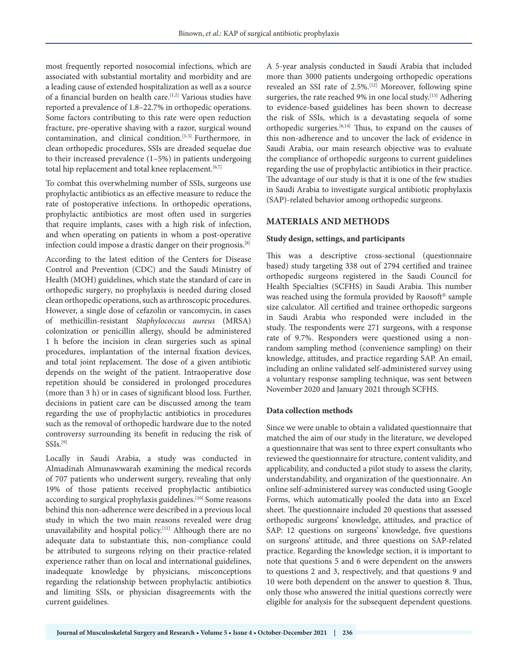most frequently reported nosocomial infections, which are associated with substantial mortality and morbidity and are a leading cause of extended hospitalization as well as a source of a financial burden on health care.<sup>[1,2]</sup> Various studies have reported a prevalence of 1.8–22.7% in orthopedic operations. Some factors contributing to this rate were open reduction fracture, pre-operative shaving with a razor, surgical wound contamination, and clinical condition.[3-5] Furthermore, in clean orthopedic procedures, SSIs are dreaded sequelae due to their increased prevalence (1–5%) in patients undergoing total hip replacement and total knee replacement.<sup>[6,7]</sup>

To combat this overwhelming number of SSIs, surgeons use prophylactic antibiotics as an effective measure to reduce the rate of postoperative infections. In orthopedic operations, prophylactic antibiotics are most often used in surgeries that require implants, cases with a high risk of infection, and when operating on patients in whom a post-operative infection could impose a drastic danger on their prognosis.[8]

According to the latest edition of the Centers for Disease Control and Prevention (CDC) and the Saudi Ministry of Health (MOH) guidelines, which state the standard of care in orthopedic surgery, no prophylaxis is needed during closed clean orthopedic operations, such as arthroscopic procedures. However, a single dose of cefazolin or vancomycin, in cases of methicillin-resistant *Staphylococcus aureus* (MRSA) colonization or penicillin allergy, should be administered 1 h before the incision in clean surgeries such as spinal procedures, implantation of the internal fixation devices, and total joint replacement. The dose of a given antibiotic depends on the weight of the patient. Intraoperative dose repetition should be considered in prolonged procedures (more than 3 h) or in cases of significant blood loss. Further, decisions in patient care can be discussed among the team regarding the use of prophylactic antibiotics in procedures such as the removal of orthopedic hardware due to the noted controversy surrounding its benefit in reducing the risk of SSIs.<sup>[9]</sup>

Locally in Saudi Arabia, a study was conducted in Almadinah Almunawwarah examining the medical records of 707 patients who underwent surgery, revealing that only 19% of those patients received prophylactic antibiotics according to surgical prophylaxis guidelines.<sup>[10]</sup> Some reasons behind this non-adherence were described in a previous local study in which the two main reasons revealed were drug unavailability and hospital policy.[11] Although there are no adequate data to substantiate this, non-compliance could be attributed to surgeons relying on their practice-related experience rather than on local and international guidelines, inadequate knowledge by physicians, misconceptions regarding the relationship between prophylactic antibiotics and limiting SSIs, or physician disagreements with the current guidelines.

A 5-year analysis conducted in Saudi Arabia that included more than 3000 patients undergoing orthopedic operations revealed an SSI rate of 2.5%.[12] Moreover, following spine surgeries, the rate reached 9% in one local study.<sup>[13]</sup> Adhering to evidence-based guidelines has been shown to decrease the risk of SSIs, which is a devastating sequela of some orthopedic surgeries.[6,14] Thus, to expand on the causes of this non-adherence and to uncover the lack of evidence in Saudi Arabia, our main research objective was to evaluate the compliance of orthopedic surgeons to current guidelines regarding the use of prophylactic antibiotics in their practice. The advantage of our study is that it is one of the few studies in Saudi Arabia to investigate surgical antibiotic prophylaxis (SAP)-related behavior among orthopedic surgeons.

# **MATERIALS AND METHODS**

#### **Study design, settings, and participants**

This was a descriptive cross-sectional (questionnaire based) study targeting 338 out of 2794 certified and trainee orthopedic surgeons registered in the Saudi Council for Health Specialties (SCFHS) in Saudi Arabia. This number was reached using the formula provided by Raosoft® sample size calculator. All certified and trainee orthopedic surgeons in Saudi Arabia who responded were included in the study. The respondents were 271 surgeons, with a response rate of 9.7%. Responders were questioned using a nonrandom sampling method (convenience sampling) on their knowledge, attitudes, and practice regarding SAP. An email, including an online validated self-administered survey using a voluntary response sampling technique, was sent between November 2020 and January 2021 through SCFHS.

#### **Data collection methods**

Since we were unable to obtain a validated questionnaire that matched the aim of our study in the literature, we developed a questionnaire that was sent to three expert consultants who reviewed the questionnaire for structure, content validity, and applicability, and conducted a pilot study to assess the clarity, understandability, and organization of the questionnaire. An online self-administered survey was conducted using Google Forms, which automatically pooled the data into an Excel sheet. The questionnaire included 20 questions that assessed orthopedic surgeons' knowledge, attitudes, and practice of SAP: 12 questions on surgeons' knowledge, five questions on surgeons' attitude, and three questions on SAP-related practice. Regarding the knowledge section, it is important to note that questions 5 and 6 were dependent on the answers to questions 2 and 3, respectively, and that questions 9 and 10 were both dependent on the answer to question 8. Thus, only those who answered the initial questions correctly were eligible for analysis for the subsequent dependent questions.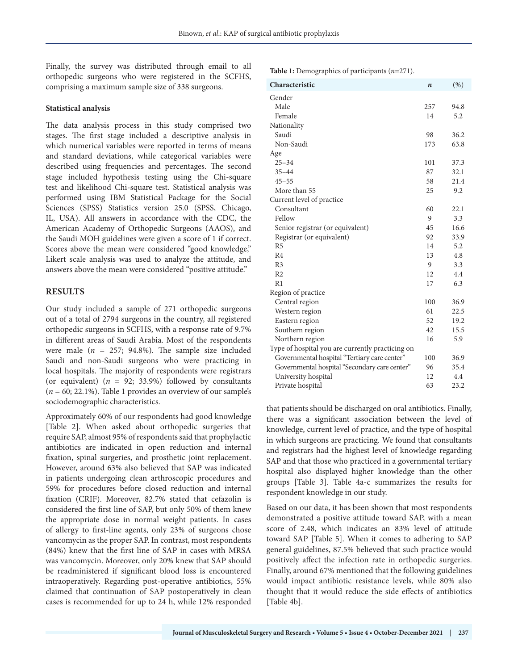Finally, the survey was distributed through email to all orthopedic surgeons who were registered in the SCFHS, comprising a maximum sample size of 338 surgeons.

#### **Statistical analysis**

The data analysis process in this study comprised two stages. The first stage included a descriptive analysis in which numerical variables were reported in terms of means and standard deviations, while categorical variables were described using frequencies and percentages. The second stage included hypothesis testing using the Chi-square test and likelihood Chi-square test. Statistical analysis was performed using IBM Statistical Package for the Social Sciences (SPSS) Statistics version 25.0 (SPSS, Chicago, IL, USA). All answers in accordance with the CDC, the American Academy of Orthopedic Surgeons (AAOS), and the Saudi MOH guidelines were given a score of 1 if correct. Scores above the mean were considered "good knowledge," Likert scale analysis was used to analyze the attitude, and answers above the mean were considered "positive attitude."

# **RESULTS**

Our study included a sample of 271 orthopedic surgeons out of a total of 2794 surgeons in the country, all registered orthopedic surgeons in SCFHS, with a response rate of 9.7% in different areas of Saudi Arabia. Most of the respondents were male  $(n = 257; 94.8\%)$ . The sample size included Saudi and non-Saudi surgeons who were practicing in local hospitals. The majority of respondents were registrars (or equivalent) (*n* = 92; 33.9%) followed by consultants (*n* = 60; 22.1%). Table 1 provides an overview of our sample's sociodemographic characteristics.

Approximately 60% of our respondents had good knowledge [Table 2]. When asked about orthopedic surgeries that require SAP, almost 95% of respondents said that prophylactic antibiotics are indicated in open reduction and internal fixation, spinal surgeries, and prosthetic joint replacement. However, around 63% also believed that SAP was indicated in patients undergoing clean arthroscopic procedures and 59% for procedures before closed reduction and internal fixation (CRIF). Moreover, 82.7% stated that cefazolin is considered the first line of SAP, but only 50% of them knew the appropriate dose in normal weight patients. In cases of allergy to first-line agents, only 23% of surgeons chose vancomycin as the proper SAP. In contrast, most respondents (84%) knew that the first line of SAP in cases with MRSA was vancomycin. Moreover, only 20% knew that SAP should be readministered if significant blood loss is encountered intraoperatively. Regarding post-operative antibiotics, 55% claimed that continuation of SAP postoperatively in clean cases is recommended for up to 24 h, while 12% responded **Table 1:** Demographics of participants (*n*=271).

| Characteristic                                   | $\boldsymbol{n}$ | (% ) |
|--------------------------------------------------|------------------|------|
| Gender                                           |                  |      |
| Male                                             | 257              | 94.8 |
| Female                                           | 14               | 5.2  |
| Nationality                                      |                  |      |
| Saudi                                            | 98               | 36.2 |
| Non-Saudi                                        | 173              | 63.8 |
| Age                                              |                  |      |
| $25 - 34$                                        | 101              | 37.3 |
| $35 - 44$                                        | 87               | 32.1 |
| $45 - 55$                                        | 58               | 21.4 |
| More than 55                                     | 25               | 9.2  |
| Current level of practice                        |                  |      |
| Consultant                                       | 60               | 22.1 |
| Fellow                                           | 9                | 3.3  |
| Senior registrar (or equivalent)                 | 45               | 16.6 |
| Registrar (or equivalent)                        | 92               | 33.9 |
| R <sub>5</sub>                                   | 14               | 5.2  |
| R <sub>4</sub>                                   | 13               | 4.8  |
| R <sub>3</sub>                                   | 9                | 3.3  |
| R <sub>2</sub>                                   | 12               | 4.4  |
| R1                                               | 17               | 6.3  |
| Region of practice                               |                  |      |
| Central region                                   | 100              | 36.9 |
| Western region                                   | 61               | 22.5 |
| Eastern region                                   | 52               | 19.2 |
| Southern region                                  | 42               | 15.5 |
| Northern region                                  | 16               | 5.9  |
| Type of hospital you are currently practicing on |                  |      |
| Governmental hospital "Tertiary care center"     | 100              | 36.9 |
| Governmental hospital "Secondary care center"    | 96               | 35.4 |
| University hospital                              | 12               | 4.4  |
| Private hospital                                 | 63               | 23.2 |

that patients should be discharged on oral antibiotics. Finally, there was a significant association between the level of knowledge, current level of practice, and the type of hospital in which surgeons are practicing. We found that consultants and registrars had the highest level of knowledge regarding SAP and that those who practiced in a governmental tertiary hospital also displayed higher knowledge than the other groups [Table 3]. Table 4a-c summarizes the results for respondent knowledge in our study.

Based on our data, it has been shown that most respondents demonstrated a positive attitude toward SAP, with a mean score of 2.48, which indicates an 83% level of attitude toward SAP [Table 5]. When it comes to adhering to SAP general guidelines, 87.5% believed that such practice would positively affect the infection rate in orthopedic surgeries. Finally, around 67% mentioned that the following guidelines would impact antibiotic resistance levels, while 80% also thought that it would reduce the side effects of antibiotics [Table 4b].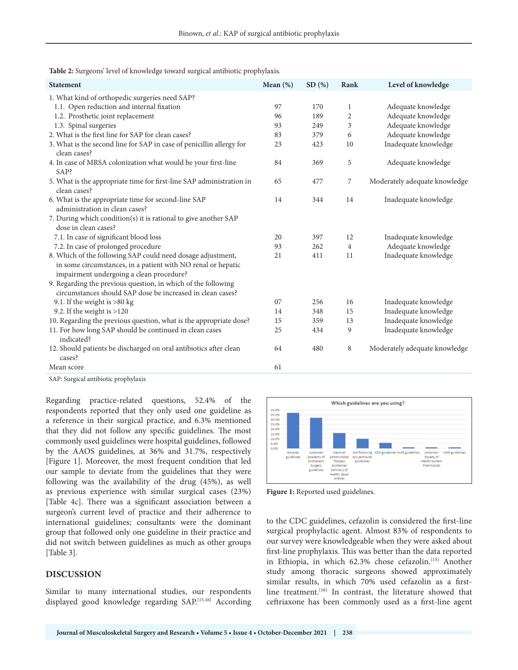|  | Table 2: Surgeons' level of knowledge toward surgical antibiotic prophylaxis. |  |  |  |
|--|-------------------------------------------------------------------------------|--|--|--|
|--|-------------------------------------------------------------------------------|--|--|--|

| <b>Statement</b>                                                                                                                                                        | Mean $(\%)$ | SD(%) | Rank           | Level of knowledge            |
|-------------------------------------------------------------------------------------------------------------------------------------------------------------------------|-------------|-------|----------------|-------------------------------|
| 1. What kind of orthopedic surgeries need SAP?                                                                                                                          |             |       |                |                               |
| 1.1. Open reduction and internal fixation                                                                                                                               | 97          | 170   | $\mathbf{1}$   | Adequate knowledge            |
| 1.2. Prosthetic joint replacement                                                                                                                                       | 96          | 189   | $\sqrt{2}$     | Adequate knowledge            |
| 1.3. Spinal surgeries                                                                                                                                                   | 93          | 249   | 3              | Adequate knowledge            |
| 2. What is the first line for SAP for clean cases?                                                                                                                      | 83          | 379   | 6              | Adequate knowledge            |
| 3. What is the second line for SAP in case of penicillin allergy for<br>clean cases?                                                                                    | 23          | 423   | 10             | Inadequate knowledge          |
| 4. In case of MRSA colonization what would be your first-line<br>SAP?                                                                                                   | 84          | 369   | 5              | Adequate knowledge            |
| 5. What is the appropriate time for first-line SAP administration in<br>clean cases?                                                                                    | 65          | 477   | 7              | Moderately adequate knowledge |
| 6. What is the appropriate time for second-line SAP<br>administration in clean cases?                                                                                   | 14          | 344   | 14             | Inadequate knowledge          |
| 7. During which condition(s) it is rational to give another SAP<br>dose in clean cases?                                                                                 |             |       |                |                               |
| 7.1. In case of significant blood loss                                                                                                                                  | 20          | 397   | 12             | Inadequate knowledge          |
| 7.2. In case of prolonged procedure                                                                                                                                     | 93          | 262   | $\overline{4}$ | Adequate knowledge            |
| 8. Which of the following SAP could need dosage adjustment,<br>in some circumstances, in a patient with NO renal or hepatic<br>impairment undergoing a clean procedure? | 21          | 411   | 11             | Inadequate knowledge          |
| 9. Regarding the previous question, in which of the following<br>circumstances should SAP dose be increased in clean cases?                                             |             |       |                |                               |
| 9.1. If the weight is $>80$ kg                                                                                                                                          | 07          | 256   | 16             | Inadequate knowledge          |
| 9.2. If the weight is $>120$                                                                                                                                            | 14          | 348   | 15             | Inadequate knowledge          |
| 10. Regarding the previous question, what is the appropriate dose?                                                                                                      | 15          | 359   | 13             | Inadequate knowledge          |
| 11. For how long SAP should be continued in clean cases<br>indicated?                                                                                                   | 25          | 434   | 9              | Inadequate knowledge          |
| 12. Should patients be discharged on oral antibiotics after clean<br>cases?                                                                                             | 64          | 480   | 8              | Moderately adequate knowledge |
| Mean score                                                                                                                                                              | 61          |       |                |                               |

SAP: Surgical antibiotic prophylaxis

Regarding practice-related questions, 52.4% of the respondents reported that they only used one guideline as a reference in their surgical practice, and 6.3% mentioned that they did not follow any specific guidelines. The most commonly used guidelines were hospital guidelines, followed by the AAOS guidelines, at 36% and 31.7%, respectively [Figure 1]. Moreover, the most frequent condition that led our sample to deviate from the guidelines that they were following was the availability of the drug (45%), as well as previous experience with similar surgical cases (23%) [Table 4c]. There was a significant association between a surgeon's current level of practice and their adherence to international guidelines; consultants were the dominant group that followed only one guideline in their practice and did not switch between guidelines as much as other groups [Table 3].

#### **DISCUSSION**

Similar to many international studies, our respondents displayed good knowledge regarding SAP.[15,16] According



**Figure 1:** Reported used guidelines.

to the CDC guidelines, cefazolin is considered the first-line surgical prophylactic agent. Almost 83% of respondents to our survey were knowledgeable when they were asked about first-line prophylaxis. This was better than the data reported in Ethiopia, in which 62.3% chose cefazolin.[15] Another study among thoracic surgeons showed approximately similar results, in which 70% used cefazolin as a firstline treatment.[16] In contrast, the literature showed that ceftriaxone has been commonly used as a first-line agent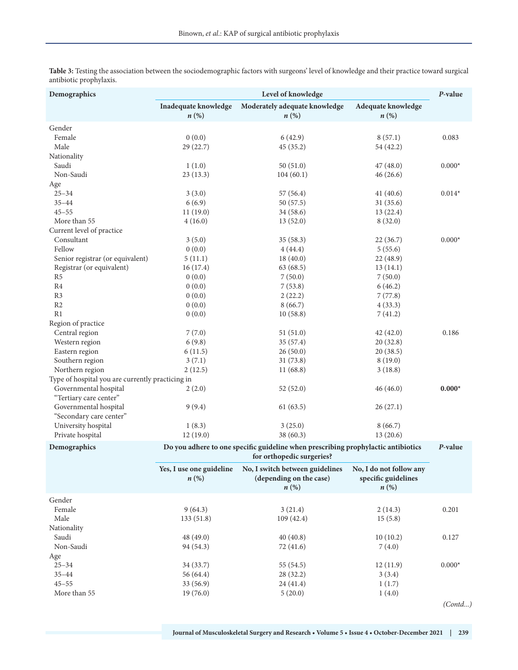| Demographics                                     | Level of knowledge                                                                                             |                                                                                  |                                                                      |          |
|--------------------------------------------------|----------------------------------------------------------------------------------------------------------------|----------------------------------------------------------------------------------|----------------------------------------------------------------------|----------|
|                                                  | Inadequate knowledge<br>$n\left(\%\right)$                                                                     | Moderately adequate knowledge<br>$n\left(\%\right)$                              | Adequate knowledge<br>$n\left(\%\right)$                             |          |
| Gender                                           |                                                                                                                |                                                                                  |                                                                      |          |
| Female                                           | 0(0.0)                                                                                                         | 6(42.9)                                                                          | 8(57.1)                                                              | 0.083    |
| Male                                             | 29(22.7)                                                                                                       | 45(35.2)                                                                         | 54 (42.2)                                                            |          |
| Nationality                                      |                                                                                                                |                                                                                  |                                                                      |          |
| Saudi                                            | 1(1.0)                                                                                                         | 50(51.0)                                                                         | 47(48.0)                                                             | $0.000*$ |
| Non-Saudi                                        | 23(13.3)                                                                                                       | 104(60.1)                                                                        | 46(26.6)                                                             |          |
| Age                                              |                                                                                                                |                                                                                  |                                                                      |          |
| $25 - 34$                                        | 3(3.0)                                                                                                         | 57(56.4)                                                                         | 41(40.6)                                                             | $0.014*$ |
| $35 - 44$                                        | 6(6.9)                                                                                                         | 50(57.5)                                                                         | 31(35.6)                                                             |          |
| $45 - 55$                                        | 11(19.0)                                                                                                       | 34(58.6)                                                                         | 13(22.4)                                                             |          |
| More than 55                                     | 4(16.0)                                                                                                        | 13(52.0)                                                                         | 8(32.0)                                                              |          |
| Current level of practice                        |                                                                                                                |                                                                                  |                                                                      |          |
| Consultant                                       | 3(5.0)                                                                                                         | 35(58.3)                                                                         | 22(36.7)                                                             | $0.000*$ |
| Fellow                                           | 0(0.0)                                                                                                         | 4(44.4)                                                                          | 5(55.6)                                                              |          |
| Senior registrar (or equivalent)                 | 5(11.1)                                                                                                        | 18(40.0)                                                                         | 22(48.9)                                                             |          |
| Registrar (or equivalent)                        | 16(17.4)                                                                                                       | 63(68.5)                                                                         | 13(14.1)                                                             |          |
| R5                                               | 0(0.0)                                                                                                         | 7(50.0)                                                                          | 7(50.0)                                                              |          |
| R4                                               | 0(0.0)                                                                                                         | 7(53.8)                                                                          | 6(46.2)                                                              |          |
| R <sub>3</sub>                                   | 0(0.0)                                                                                                         | 2(22.2)                                                                          | 7(77.8)                                                              |          |
| R2                                               | 0(0.0)                                                                                                         | 8(66.7)                                                                          | 4(33.3)                                                              |          |
| R1                                               | 0(0.0)                                                                                                         | 10(58.8)                                                                         | 7(41.2)                                                              |          |
| Region of practice                               |                                                                                                                |                                                                                  |                                                                      |          |
| Central region                                   | 7(7.0)                                                                                                         | 51(51.0)                                                                         | 42(42.0)                                                             | 0.186    |
| Western region                                   | 6(9.8)                                                                                                         | 35(57.4)                                                                         | 20(32.8)                                                             |          |
| Eastern region                                   | 6(11.5)                                                                                                        | 26(50.0)                                                                         | 20(38.5)                                                             |          |
| Southern region                                  | 3(7.1)                                                                                                         | 31(73.8)                                                                         | 8(19.0)                                                              |          |
| Northern region                                  | 2(12.5)                                                                                                        | 11(68.8)                                                                         | 3(18.8)                                                              |          |
| Type of hospital you are currently practicing in |                                                                                                                |                                                                                  |                                                                      |          |
| Governmental hospital<br>"Tertiary care center"  | 2(2.0)                                                                                                         | 52(52.0)                                                                         | 46 (46.0)                                                            | $0.000*$ |
| Governmental hospital<br>"Secondary care center" | 9(9.4)                                                                                                         | 61(63.5)                                                                         | 26(27.1)                                                             |          |
| University hospital                              | 1(8.3)                                                                                                         | 3(25.0)                                                                          | 8(66.7)                                                              |          |
| Private hospital                                 | 12(19.0)                                                                                                       | 38 (60.3)                                                                        | 13(20.6)                                                             |          |
| Demographics                                     | Do you adhere to one specific guideline when prescribing prophylactic antibiotics<br>for orthopedic surgeries? |                                                                                  |                                                                      |          |
|                                                  | Yes, I use one guideline<br>$n\left(\%\right)$                                                                 | No, I switch between guidelines<br>(depending on the case)<br>$n\left(\%\right)$ | No, I do not follow any<br>specific guidelines<br>$n\left(\%\right)$ |          |
| Gender                                           |                                                                                                                |                                                                                  |                                                                      |          |
| Female                                           | 9(64.3)                                                                                                        | 3(21.4)                                                                          | 2(14.3)                                                              | 0.201    |
| Male                                             | 133(51.8)                                                                                                      | 109(42.4)                                                                        | 15(5.8)                                                              |          |
| Nationality                                      |                                                                                                                |                                                                                  |                                                                      |          |
| Saudi                                            | 48 (49.0)                                                                                                      | 40(40.8)                                                                         | 10(10.2)                                                             | 0.127    |
| Non-Saudi                                        | 94 (54.3)                                                                                                      | 72 (41.6)                                                                        | 7(4.0)                                                               |          |
| Age                                              |                                                                                                                |                                                                                  |                                                                      |          |
| $25 - 34$                                        | 34 (33.7)                                                                                                      | 55 (54.5)                                                                        | 12(11.9)                                                             | $0.000*$ |
| $35 - 44$                                        | 56 (64.4)                                                                                                      | 28 (32.2)                                                                        | 3(3.4)                                                               |          |
| $45 - 55$                                        | 33 (56.9)                                                                                                      | 24(41.4)                                                                         | 1(1.7)                                                               |          |
| More than 55                                     | 19(76.0)                                                                                                       | 5(20.0)                                                                          | 1(4.0)                                                               |          |
|                                                  |                                                                                                                |                                                                                  |                                                                      | (Contd)  |

**Table 3:** Testing the association between the sociodemographic factors with surgeons' level of knowledge and their practice toward surgical antibiotic prophylaxis.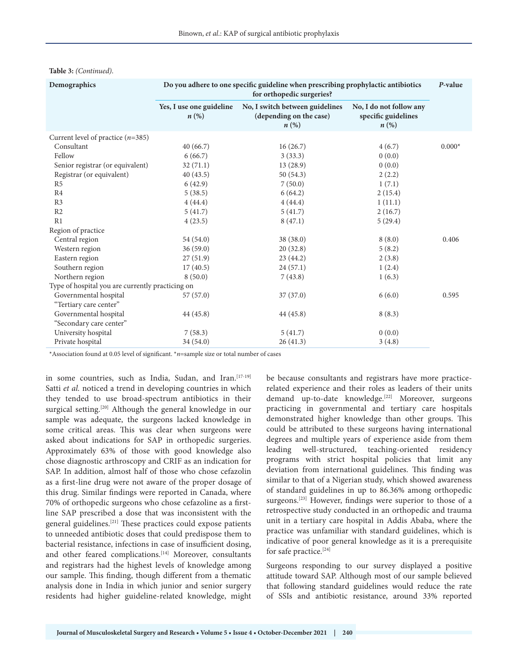| Demographics                                     | Do you adhere to one specific guideline when prescribing prophylactic antibiotics<br>for orthopedic surgeries? |                                                                                  |                                                                      |          |  |
|--------------------------------------------------|----------------------------------------------------------------------------------------------------------------|----------------------------------------------------------------------------------|----------------------------------------------------------------------|----------|--|
|                                                  | Yes, I use one guideline<br>$n\left(\%\right)$                                                                 | No, I switch between guidelines<br>(depending on the case)<br>$n\left(\%\right)$ | No, I do not follow any<br>specific guidelines<br>$n\left(\%\right)$ |          |  |
| Current level of practice $(n=385)$              |                                                                                                                |                                                                                  |                                                                      |          |  |
| Consultant                                       | 40(66.7)                                                                                                       | 16(26.7)                                                                         | 4(6.7)                                                               | $0.000*$ |  |
| Fellow                                           | 6(66.7)                                                                                                        | 3(33.3)                                                                          | 0(0.0)                                                               |          |  |
| Senior registrar (or equivalent)                 | 32(71.1)                                                                                                       | 13(28.9)                                                                         | 0(0.0)                                                               |          |  |
| Registrar (or equivalent)                        | 40(43.5)                                                                                                       | 50(54.3)                                                                         | 2(2.2)                                                               |          |  |
| R5                                               | 6(42.9)                                                                                                        | 7(50.0)                                                                          | 1(7.1)                                                               |          |  |
| R <sub>4</sub>                                   | 5(38.5)                                                                                                        | 6(64.2)                                                                          | 2(15.4)                                                              |          |  |
| R <sub>3</sub>                                   | 4(44.4)                                                                                                        | 4(44.4)                                                                          | 1(11.1)                                                              |          |  |
| R2                                               | 5(41.7)                                                                                                        | 5(41.7)                                                                          | 2(16.7)                                                              |          |  |
| R1                                               | 4(23.5)                                                                                                        | 8(47.1)                                                                          | 5(29.4)                                                              |          |  |
| Region of practice                               |                                                                                                                |                                                                                  |                                                                      |          |  |
| Central region                                   | 54 (54.0)                                                                                                      | 38 (38.0)                                                                        | 8(8.0)                                                               | 0.406    |  |
| Western region                                   | 36(59.0)                                                                                                       | 20(32.8)                                                                         | 5(8.2)                                                               |          |  |
| Eastern region                                   | 27(51.9)                                                                                                       | 23(44.2)                                                                         | 2(3.8)                                                               |          |  |
| Southern region                                  | 17(40.5)                                                                                                       | 24(57.1)                                                                         | 1(2.4)                                                               |          |  |
| Northern region                                  | 8(50.0)                                                                                                        | 7(43.8)                                                                          | 1(6.3)                                                               |          |  |
| Type of hospital you are currently practicing on |                                                                                                                |                                                                                  |                                                                      |          |  |
| Governmental hospital                            | 57(57.0)                                                                                                       | 37(37.0)                                                                         | 6(6.0)                                                               | 0.595    |  |
| "Tertiary care center"                           |                                                                                                                |                                                                                  |                                                                      |          |  |
| Governmental hospital                            | 44 (45.8)                                                                                                      | 44 (45.8)                                                                        | 8(8.3)                                                               |          |  |
| "Secondary care center"                          |                                                                                                                |                                                                                  |                                                                      |          |  |
| University hospital                              | 7(58.3)                                                                                                        | 5(41.7)                                                                          | 0(0.0)                                                               |          |  |
| Private hospital                                 | 34 (54.0)                                                                                                      | 26(41.3)                                                                         | 3(4.8)                                                               |          |  |

#### **Table 3:** *(Continued)*.

\*Association found at 0.05 level of significant. \**n*=sample size or total number of cases

in some countries, such as India, Sudan, and Iran.<sup>[17-19]</sup> Satti *et al.* noticed a trend in developing countries in which they tended to use broad-spectrum antibiotics in their surgical setting.<sup>[20]</sup> Although the general knowledge in our sample was adequate, the surgeons lacked knowledge in some critical areas. This was clear when surgeons were asked about indications for SAP in orthopedic surgeries. Approximately 63% of those with good knowledge also chose diagnostic arthroscopy and CRIF as an indication for SAP. In addition, almost half of those who chose cefazolin as a first-line drug were not aware of the proper dosage of this drug. Similar findings were reported in Canada, where 70% of orthopedic surgeons who chose cefazoline as a firstline SAP prescribed a dose that was inconsistent with the general guidelines.[21] These practices could expose patients to unneeded antibiotic doses that could predispose them to bacterial resistance, infections in case of insufficient dosing, and other feared complications.<sup>[14]</sup> Moreover, consultants and registrars had the highest levels of knowledge among our sample. This finding, though different from a thematic analysis done in India in which junior and senior surgery residents had higher guideline-related knowledge, might

be because consultants and registrars have more practicerelated experience and their roles as leaders of their units demand up-to-date knowledge.<sup>[22]</sup> Moreover, surgeons practicing in governmental and tertiary care hospitals demonstrated higher knowledge than other groups. This could be attributed to these surgeons having international degrees and multiple years of experience aside from them leading well-structured, teaching-oriented residency programs with strict hospital policies that limit any deviation from international guidelines. This finding was similar to that of a Nigerian study, which showed awareness of standard guidelines in up to 86.36% among orthopedic surgeons.<sup>[23]</sup> However, findings were superior to those of a retrospective study conducted in an orthopedic and trauma unit in a tertiary care hospital in Addis Ababa, where the practice was unfamiliar with standard guidelines, which is indicative of poor general knowledge as it is a prerequisite for safe practice.<sup>[24]</sup>

Surgeons responding to our survey displayed a positive attitude toward SAP. Although most of our sample believed that following standard guidelines would reduce the rate of SSIs and antibiotic resistance, around 33% reported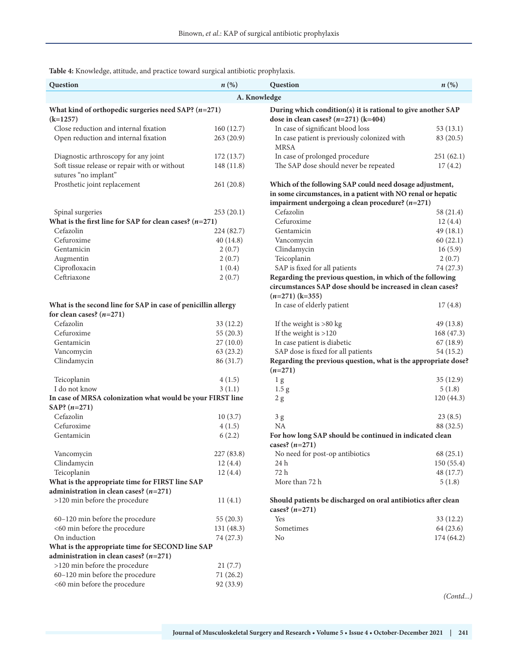**Table 4:** Knowledge, attitude, and practice toward surgical antibiotic prophylaxis.

| Question                                                                                     | $n\left(\%\right)$ | Question                                                                                                                 | n(%)       |  |
|----------------------------------------------------------------------------------------------|--------------------|--------------------------------------------------------------------------------------------------------------------------|------------|--|
|                                                                                              |                    | A. Knowledge                                                                                                             |            |  |
| What kind of orthopedic surgeries need SAP? $(n=271)$<br>$(k=1257)$                          |                    | During which condition(s) it is rational to give another SAP<br>dose in clean cases? $(n=271)$ (k=404)                   |            |  |
| Close reduction and internal fixation                                                        | 160(12.7)          | In case of significant blood loss                                                                                        | 53(13.1)   |  |
| Open reduction and internal fixation                                                         | 263(20.9)          | In case patient is previously colonized with<br><b>MRSA</b>                                                              | 83 (20.5)  |  |
| Diagnostic arthroscopy for any joint                                                         | 172(13.7)          | In case of prolonged procedure                                                                                           | 251(62.1)  |  |
| Soft tissue release or repair with or without                                                | 148 (11.8)         | The SAP dose should never be repeated                                                                                    | 17(4.2)    |  |
| sutures "no implant"<br>Prosthetic joint replacement                                         | 261(20.8)          | Which of the following SAP could need dosage adjustment,                                                                 |            |  |
|                                                                                              |                    | in some circumstances, in a patient with NO renal or hepatic                                                             |            |  |
|                                                                                              |                    | impairment undergoing a clean procedure? $(n=271)$                                                                       |            |  |
| Spinal surgeries                                                                             | 253(20.1)          | Cefazolin                                                                                                                | 58 (21.4)  |  |
| What is the first line for SAP for clean cases? $(n=271)$                                    |                    | Cefuroxime                                                                                                               | 12(4.4)    |  |
| Cefazolin                                                                                    | 224 (82.7)         | Gentamicin                                                                                                               | 49(18.1)   |  |
| Cefuroxime                                                                                   | 40(14.8)           | Vancomycin                                                                                                               | 60(22.1)   |  |
| Gentamicin                                                                                   | 2(0.7)             | Clindamycin                                                                                                              | 16(5.9)    |  |
| Augmentin                                                                                    | 2(0.7)             | Teicoplanin                                                                                                              | 2(0.7)     |  |
| Ciprofloxacin                                                                                | 1(0.4)             | SAP is fixed for all patients                                                                                            | 74 (27.3)  |  |
| Ceftriaxone                                                                                  | 2(0.7)             | Regarding the previous question, in which of the following<br>circumstances SAP dose should be increased in clean cases? |            |  |
|                                                                                              |                    | $(n=271)$ (k=355)                                                                                                        |            |  |
| What is the second line for SAP in case of penicillin allergy<br>for clean cases? $(n=271)$  |                    | In case of elderly patient                                                                                               | 17(4.8)    |  |
| Cefazolin                                                                                    | 33(12.2)           | If the weight is $>80$ kg                                                                                                | 49 (13.8)  |  |
| Cefuroxime                                                                                   | 55(20.3)           | If the weight is $>120$                                                                                                  | 168 (47.3) |  |
| Gentamicin                                                                                   | 27(10.0)           | In case patient is diabetic                                                                                              | 67(18.9)   |  |
| Vancomycin                                                                                   | 63(23.2)           | SAP dose is fixed for all patients                                                                                       | 54(15.2)   |  |
| Clindamycin                                                                                  | 86 (31.7)          | Regarding the previous question, what is the appropriate dose?<br>$(n=271)$                                              |            |  |
| Teicoplanin                                                                                  | 4(1.5)             | 1 <sub>g</sub>                                                                                                           | 35(12.9)   |  |
| I do not know                                                                                | 3(1.1)             | 1.5 <sub>g</sub>                                                                                                         | 5(1.8)     |  |
| In case of MRSA colonization what would be your FIRST line<br>SAP? $(n=271)$                 |                    | 2 g                                                                                                                      | 120(44.3)  |  |
| Cefazolin                                                                                    | 10(3.7)            | 3 <sub>g</sub>                                                                                                           | 23(8.5)    |  |
| Cefuroxime                                                                                   | 4(1.5)             | NA                                                                                                                       | 88 (32.5)  |  |
| Gentamicin                                                                                   | 6(2.2)             | For how long SAP should be continued in indicated clean<br>cases? $(n=271)$                                              |            |  |
| Vancomycin                                                                                   | 227 (83.8)         | No need for post-op antibiotics                                                                                          | 68(25.1)   |  |
| Clindamycin                                                                                  | 12(4.4)            | 24 h                                                                                                                     | 150(55.4)  |  |
| Teicoplanin                                                                                  | 12(4.4)            | 72 h                                                                                                                     | 48 (17.7)  |  |
| What is the appropriate time for FIRST line SAP                                              |                    | More than 72 h                                                                                                           | 5(1.8)     |  |
| administration in clean cases? $(n=271)$                                                     |                    |                                                                                                                          |            |  |
| >120 min before the procedure                                                                | 11(4.1)            | Should patients be discharged on oral antibiotics after clean<br>cases? $(n=271)$                                        |            |  |
| 60-120 min before the procedure                                                              | 55(20.3)           | Yes                                                                                                                      | 33(12.2)   |  |
| <60 min before the procedure                                                                 | 131 (48.3)         | Sometimes                                                                                                                | 64 (23.6)  |  |
| On induction                                                                                 | 74 (27.3)          | N <sub>0</sub>                                                                                                           | 174 (64.2) |  |
| What is the appropriate time for SECOND line SAP<br>administration in clean cases? $(n=271)$ |                    |                                                                                                                          |            |  |
| >120 min before the procedure                                                                | 21(7.7)            |                                                                                                                          |            |  |
| 60-120 min before the procedure                                                              | 71(26.2)           |                                                                                                                          |            |  |
| <60 min before the procedure                                                                 | 92 (33.9)          |                                                                                                                          | (Contd)    |  |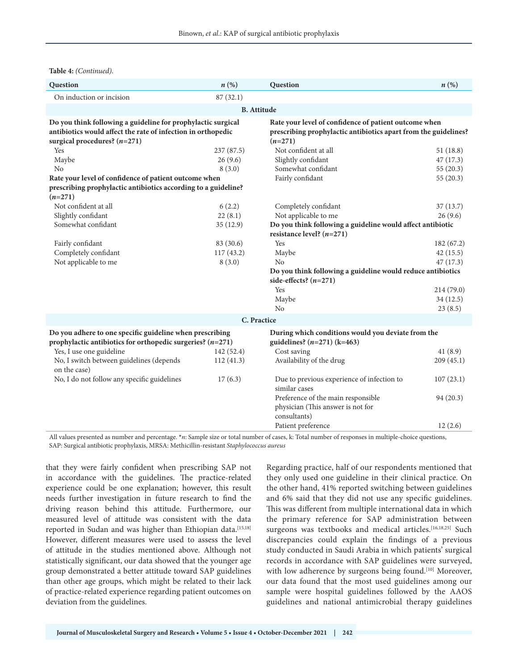| Question                                                                                                                     | n(%)               | Question                                                                                                                 | $n\left(\%\right)$ |  |
|------------------------------------------------------------------------------------------------------------------------------|--------------------|--------------------------------------------------------------------------------------------------------------------------|--------------------|--|
| On induction or incision                                                                                                     | 87(32.1)           |                                                                                                                          |                    |  |
|                                                                                                                              | <b>B.</b> Attitude |                                                                                                                          |                    |  |
| Do you think following a guideline for prophylactic surgical<br>antibiotics would affect the rate of infection in orthopedic |                    | Rate your level of confidence of patient outcome when<br>prescribing prophylactic antibiotics apart from the guidelines? |                    |  |
| surgical procedures? $(n=271)$<br>Yes                                                                                        | 237(87.5)          | $(n=271)$<br>Not confident at all                                                                                        | 51(18.8)           |  |
| Maybe                                                                                                                        | 26(9.6)            | Slightly confidant                                                                                                       | 47(17.3)           |  |
| N <sub>o</sub>                                                                                                               | 8(3.0)             | Somewhat confidant                                                                                                       | 55(20.3)           |  |
|                                                                                                                              |                    | Fairly confidant                                                                                                         |                    |  |
| Rate your level of confidence of patient outcome when<br>prescribing prophylactic antibiotics according to a guideline?      |                    |                                                                                                                          | 55(20.3)           |  |
| $(n=271)$                                                                                                                    |                    |                                                                                                                          |                    |  |
| Not confident at all                                                                                                         | 6(2.2)             | Completely confidant                                                                                                     | 37(13.7)           |  |
| Slightly confidant                                                                                                           | 22(8.1)            | Not applicable to me                                                                                                     | 26(9.6)            |  |
| Somewhat confidant                                                                                                           | 35(12.9)           | Do you think following a guideline would affect antibiotic                                                               |                    |  |
|                                                                                                                              |                    | resistance level? $(n=271)$                                                                                              |                    |  |
| Fairly confidant                                                                                                             | 83 (30.6)          | Yes                                                                                                                      | 182 (67.2)         |  |
| Completely confidant                                                                                                         | 117 (43.2)         | Maybe                                                                                                                    | 42(15.5)           |  |
| Not applicable to me                                                                                                         | 8(3.0)             | N <sub>o</sub>                                                                                                           | 47(17.3)           |  |
|                                                                                                                              |                    | Do you think following a guideline would reduce antibiotics                                                              |                    |  |
|                                                                                                                              |                    | side-effects? $(n=271)$                                                                                                  |                    |  |
|                                                                                                                              |                    | Yes                                                                                                                      | 214(79.0)          |  |
|                                                                                                                              |                    | Maybe                                                                                                                    | 34(12.5)           |  |
|                                                                                                                              |                    | No                                                                                                                       | 23(8.5)            |  |
|                                                                                                                              |                    | C. Practice                                                                                                              |                    |  |
| Do you adhere to one specific guideline when prescribing<br>prophylactic antibiotics for orthopedic surgeries? $(n=271)$     |                    | During which conditions would you deviate from the<br>guidelines? $(n=271)$ (k=463)                                      |                    |  |
| Yes, I use one guideline                                                                                                     | 142(52.4)          | Cost saving                                                                                                              | 41(8.9)            |  |
| No, I switch between guidelines (depends<br>on the case)                                                                     | 112(41.3)          | Availability of the drug                                                                                                 | 209(45.1)          |  |
| No, I do not follow any specific guidelines                                                                                  | 17(6.3)            | Due to previous experience of infection to<br>similar cases                                                              | 107(23.1)          |  |
|                                                                                                                              |                    | Preference of the main responsible                                                                                       | 94(20.3)           |  |
|                                                                                                                              |                    | physician (This answer is not for                                                                                        |                    |  |
|                                                                                                                              |                    | consultants)                                                                                                             |                    |  |
|                                                                                                                              |                    | Patient preference                                                                                                       | 12(2.6)            |  |

All values presented as number and percentage. **\****n*: Sample size or total number of cases, k: Total number of responses in multiple-choice questions, SAP: Surgical antibiotic prophylaxis, MRSA: Methicillin-resistant *Staphylococcus aureus*

that they were fairly confident when prescribing SAP not in accordance with the guidelines. The practice-related experience could be one explanation; however, this result needs further investigation in future research to find the driving reason behind this attitude. Furthermore, our measured level of attitude was consistent with the data reported in Sudan and was higher than Ethiopian data.<sup>[15,18]</sup> However, different measures were used to assess the level of attitude in the studies mentioned above. Although not statistically significant, our data showed that the younger age group demonstrated a better attitude toward SAP guidelines than other age groups, which might be related to their lack of practice-related experience regarding patient outcomes on deviation from the guidelines.

Regarding practice, half of our respondents mentioned that they only used one guideline in their clinical practice. On the other hand, 41% reported switching between guidelines and 6% said that they did not use any specific guidelines. This was different from multiple international data in which the primary reference for SAP administration between surgeons was textbooks and medical articles.<sup>[16,18,25]</sup> Such discrepancies could explain the findings of a previous study conducted in Saudi Arabia in which patients' surgical records in accordance with SAP guidelines were surveyed, with low adherence by surgeons being found.<sup>[10]</sup> Moreover, our data found that the most used guidelines among our sample were hospital guidelines followed by the AAOS guidelines and national antimicrobial therapy guidelines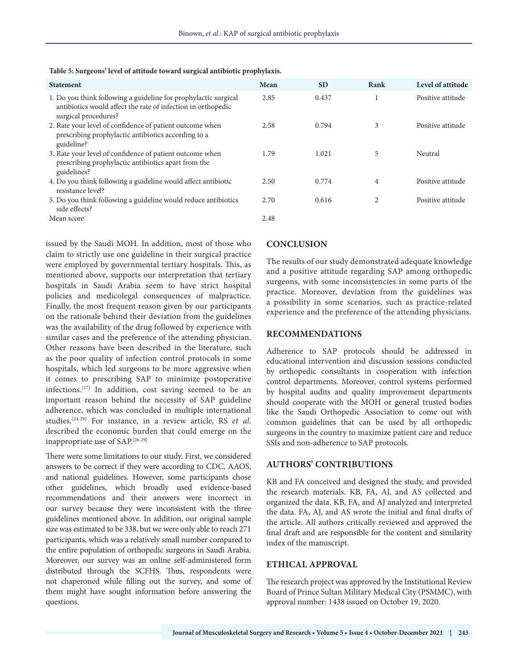| <b>Statement</b>                                                                                                                                        | Mean | <b>SD</b> | Rank | Level of attitude |
|---------------------------------------------------------------------------------------------------------------------------------------------------------|------|-----------|------|-------------------|
| 1. Do you think following a guideline for prophylactic surgical<br>antibiotics would affect the rate of infection in orthopedic<br>surgical procedures? | 2.85 | 0.437     | 1    | Positive attitude |
| 2. Rate your level of confidence of patient outcome when<br>prescribing prophylactic antibiotics according to a<br>guideline?                           | 2.58 | 0.794     | 3    | Positive attitude |
| 3. Rate your level of confidence of patient outcome when<br>prescribing prophylactic antibiotics apart from the<br>guidelines?                          | 1.79 | 1.021     | 5    | Neutral           |
| 4. Do you think following a guideline would affect antibiotic<br>resistance level?                                                                      | 2.50 | 0.774     | 4    | Positive attitude |
| 5. Do you think following a guideline would reduce antibiotics<br>side effects?                                                                         | 2.70 | 0.616     | 2    | Positive attitude |
| Mean score                                                                                                                                              | 2.48 |           |      |                   |

**Table 5: Surgeons' level of attitude toward surgical antibiotic prophylaxis.**

issued by the Saudi MOH. In addition, most of those who claim to strictly use one guideline in their surgical practice were employed by governmental tertiary hospitals. This, as mentioned above, supports our interpretation that tertiary hospitals in Saudi Arabia seem to have strict hospital policies and medicolegal consequences of malpractice. Finally, the most frequent reason given by our participants on the rationale behind their deviation from the guidelines was the availability of the drug followed by experience with similar cases and the preference of the attending physician. Other reasons have been described in the literature, such as the poor quality of infection control protocols in some hospitals, which led surgeons to be more aggressive when it comes to prescribing SAP to minimize postoperative infections.[17] In addition, cost saving seemed to be an important reason behind the necessity of SAP guideline adherence, which was concluded in multiple international studies.[24-29] For instance, in a review article, RS *et al*. described the economic burden that could emerge on the inappropriate use of SAP.[26-29]

There were some limitations to our study. First, we considered answers to be correct if they were according to CDC, AAOS, and national guidelines. However, some participants chose other guidelines, which broadly used evidence-based recommendations and their answers were incorrect in our survey because they were inconsistent with the three guidelines mentioned above. In addition, our original sample size was estimated to be 338, but we were only able to reach 271 participants, which was a relatively small number compared to the entire population of orthopedic surgeons in Saudi Arabia. Moreover, our survey was an online self-administered form distributed through the SCFHS. Thus, respondents were not chaperoned while filling out the survey, and some of them might have sought information before answering the questions.

# **CONCLUSION**

The results of our study demonstrated adequate knowledge and a positive attitude regarding SAP among orthopedic surgeons, with some inconsistencies in some parts of the practice. Moreover, deviation from the guidelines was a possibility in some scenarios, such as practice-related experience and the preference of the attending physicians.

# **RECOMMENDATIONS**

Adherence to SAP protocols should be addressed in educational intervention and discussion sessions conducted by orthopedic consultants in cooperation with infection control departments. Moreover, control systems performed by hospital audits and quality improvement departments should cooperate with the MOH or general trusted bodies like the Saudi Orthopedic Association to come out with common guidelines that can be used by all orthopedic surgeons in the country to maximize patient care and reduce SSIs and non-adherence to SAP protocols.

# **AUTHORS' CONTRIBUTIONS**

KB and FA conceived and designed the study, and provided the research materials. KB, FA, AJ, and AS collected and organized the data. KB, FA, and AJ analyzed and interpreted the data. FA, AJ, and AS wrote the initial and final drafts of the article. All authors critically reviewed and approved the final draft and are responsible for the content and similarity index of the manuscript.

# **ETHICAL APPROVAL**

The research project was approved by the Institutional Review Board of Prince Sultan Military Medical City (PSMMC), with approval number: 1438 issued on October 19, 2020.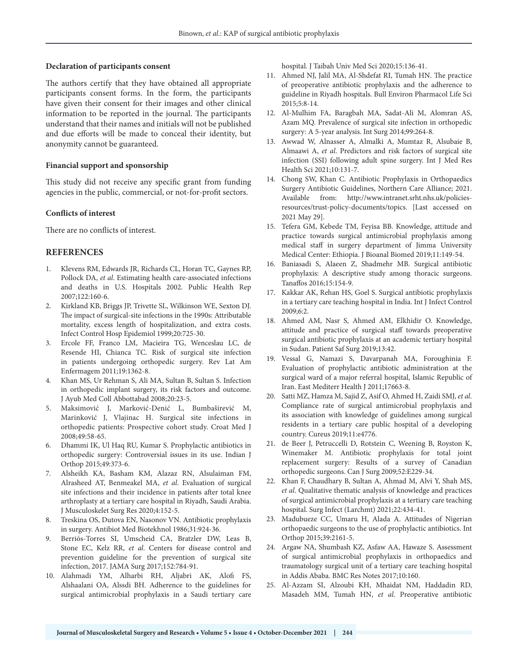#### **Declaration of participants consent**

The authors certify that they have obtained all appropriate participants consent forms. In the form, the participants have given their consent for their images and other clinical information to be reported in the journal. The participants understand that their names and initials will not be published and due efforts will be made to conceal their identity, but anonymity cannot be guaranteed.

#### **Financial support and sponsorship**

This study did not receive any specific grant from funding agencies in the public, commercial, or not-for-profit sectors.

#### **Conflicts of interest**

There are no conflicts of interest.

### **REFERENCES**

- 1. Klevens RM, Edwards JR, Richards CL, Horan TC, Gaynes RP, Pollock DA, *et al*. Estimating health care-associated infections and deaths in U.S. Hospitals 2002. Public Health Rep 2007;122:160-6.
- 2. Kirkland KB, Briggs JP, Trivette SL, Wilkinson WE, Sexton DJ. The impact of surgical-site infections in the 1990s: Attributable mortality, excess length of hospitalization, and extra costs. Infect Control Hosp Epidemiol 1999;20:725-30.
- 3. Ercole FF, Franco LM, Macieira TG, Wenceslau LC, de Resende HI, Chianca TC. Risk of surgical site infection in patients undergoing orthopedic surgery. Rev Lat Am Enfermagem 2011;19:1362-8.
- 4. Khan MS, Ur Rehman S, Ali MA, Sultan B, Sultan S. Infection in orthopedic implant surgery, its risk factors and outcome. J Ayub Med Coll Abbottabad 2008;20:23-5.
- 5. Maksimović J, Marković-Denić L, Bumbaširević M, Marinković J, Vlajinac H. Surgical site infections in orthopedic patients: Prospective cohort study. Croat Med J 2008;49:58-65.
- 6. Dhammi IK, Ul Haq RU, Kumar S. Prophylactic antibiotics in orthopedic surgery: Controversial issues in its use. Indian J Orthop 2015;49:373-6.
- 7. Alsheikh KA, Basham KM, Alazaz RN, Alsulaiman FM, Alrasheed AT, Benmeakel MA, *et al*. Evaluation of surgical site infections and their incidence in patients after total knee arthroplasty at a tertiary care hospital in Riyadh, Saudi Arabia. J Musculoskelet Surg Res 2020;4:152-5.
- 8. Treskina OS, Dutova EN, Nasonov VN. Antibiotic prophylaxis in surgery. Antibiot Med Biotekhnol 1986;31:924-36.
- 9. Berriós-Torres SI, Umscheid CA, Bratzler DW, Leas B, Stone EC, Kelz RR, *et al*. Centers for disease control and prevention guideline for the prevention of surgical site infection, 2017. JAMA Surg 2017;152:784-91.
- 10. Alahmadi YM, Alharbi RH, Aljabri AK, Alofi FS, Alshaalani OA, Alssdi BH. Adherence to the guidelines for surgical antimicrobial prophylaxis in a Saudi tertiary care

hospital. J Taibah Univ Med Sci 2020;15:136-41.

- 11. Ahmed NJ, Jalil MA, Al-Shdefat RI, Tumah HN. The practice of preoperative antibiotic prophylaxis and the adherence to guideline in Riyadh hospitals. Bull Environ Pharmacol Life Sci 2015;5:8-14.
- 12. Al-Mulhim FA, Baragbah MA, Sadat-Ali M, Alomran AS, Azam MQ. Prevalence of surgical site infection in orthopedic surgery: A 5-year analysis. Int Surg 2014;99:264-8.
- 13. Awwad W, Alnasser A, Almalki A, Mumtaz R, Alsubaie B, Almaawi A, *et al*. Predictors and risk factors of surgical site infection (SSI) following adult spine surgery. Int J Med Res Health Sci 2021;10:131-7.
- 14. Chong SW, Khan C. Antibiotic Prophylaxis in Orthopaedics Surgery Antibiotic Guidelines, Northern Care Alliance; 2021. Available from: http://www.intranet.srht.nhs.uk/policiesresources/trust-policy-documents/topics. [Last accessed on 2021 May 29].
- 15. Tefera GM, Kebede TM, Feyisa BB. Knowledge, attitude and practice towards surgical antimicrobial prophylaxis among medical staff in surgery department of Jimma University Medical Center: Ethiopia. J Bioanal Biomed 2019;11:149-54.
- 16. Baniasadi S, Alaeen Z, Shadmehr MB. Surgical antibiotic prophylaxis: A descriptive study among thoracic surgeons. Tanaffos 2016;15:154-9.
- 17. Kakkar AK, Rehan HS, Goel S. Surgical antibiotic prophylaxis in a tertiary care teaching hospital in India. Int J Infect Control 2009;6:2.
- 18. Ahmed AM, Nasr S, Ahmed AM, Elkhidir O. Knowledge, attitude and practice of surgical staff towards preoperative surgical antibiotic prophylaxis at an academic tertiary hospital in Sudan. Patient Saf Surg 2019;13:42.
- 19. Vessal G, Namazi S, Davarpanah MA, Foroughinia F. Evaluation of prophylactic antibiotic administration at the surgical ward of a major referral hospital, Islamic Republic of Iran. East Mediterr Health J 2011;17663-8.
- 20. Satti MZ, Hamza M, Sajid Z, Asif O, Ahmed H, Zaidi SMJ, *et al*. Compliance rate of surgical antimicrobial prophylaxis and its association with knowledge of guidelines among surgical residents in a tertiary care public hospital of a developing country. Cureus 2019;11:e4776.
- 21. de Beer J, Petruccelli D, Rotstein C, Weening B, Royston K, Winemaker M. Antibiotic prophylaxis for total joint replacement surgery: Results of a survey of Canadian orthopedic surgeons. Can J Surg 2009;52:E229-34.
- 22. Khan F, Chaudhary B, Sultan A, Ahmad M, Alvi Y, Shah MS, *et al*. Qualitative thematic analysis of knowledge and practices of surgical antimicrobial prophylaxis at a tertiary care teaching hospital. Surg Infect (Larchmt) 2021;22:434-41.
- 23. Madubueze CC, Umaru H, Alada A. Attitudes of Nigerian orthopaedic surgeons to the use of prophylactic antibiotics. Int Orthop 2015;39:2161-5.
- 24. Argaw NA, Shumbash KZ, Asfaw AA, Hawaze S. Assessment of surgical antimicrobial prophylaxis in orthopaedics and traumatology surgical unit of a tertiary care teaching hospital in Addis Ababa. BMC Res Notes 2017;10:160.
- 25. Al-Azzam SI, Alzoubi KH, Mhaidat NM, Haddadin RD, Masadeh MM, Tumah HN, *et al*. Preoperative antibiotic